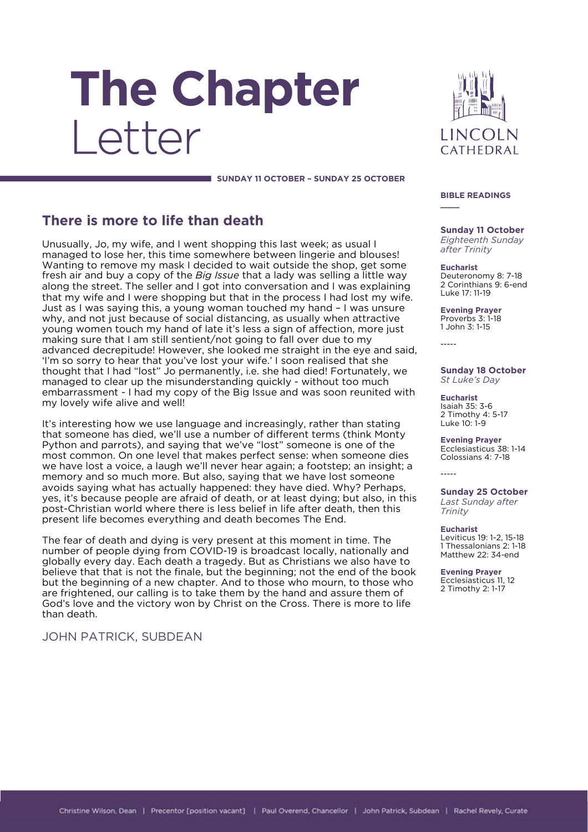# The Chapter Letter

**LINCOLN** CATHEDRAL

#### **SUNDAY 11 OCTOBER – SUNDAY 25 OCTOBER**

# **There is more to life than death**

Unusually, Jo, my wife, and I went shopping this last week; as usual I managed to lose her, this time somewhere between lingerie and blouses! Wanting to remove my mask I decided to wait outside the shop, get some fresh air and buy a copy of the *Big Issue* that a lady was selling a little way along the street. The seller and I got into conversation and I was explaining that my wife and I were shopping but that in the process I had lost my wife. Just as I was saying this, a young woman touched my hand – I was unsure why, and not just because of social distancing, as usually when attractive young women touch my hand of late it's less a sign of affection, more just making sure that I am still sentient/not going to fall over due to my advanced decrepitude! However, she looked me straight in the eye and said, 'I'm so sorry to hear that you've lost your wife.' I soon realised that she thought that I had "lost" Jo permanently, i.e. she had died! Fortunately, we managed to clear up the misunderstanding quickly - without too much embarrassment - I had my copy of the Big Issue and was soon reunited with my lovely wife alive and well!

It's interesting how we use language and increasingly, rather than stating that someone has died, we'll use a number of different terms (think Monty Python and parrots), and saying that we've "lost" someone is one of the most common. On one level that makes perfect sense: when someone dies we have lost a voice, a laugh we'll never hear again; a footstep; an insight; a memory and so much more. But also, saying that we have lost someone avoids saying what has actually happened: they have died. Why? Perhaps, yes, it's because people are afraid of death, or at least dying; but also, in this post-Christian world where there is less belief in life after death, then this present life becomes everything and death becomes The End.

The fear of death and dying is very present at this moment in time. The number of people dying from COVID-19 is broadcast locally, nationally and globally every day. Each death a tragedy. But as Christians we also have to believe that that is not the finale, but the beginning; not the end of the book but the beginning of a new chapter. And to those who mourn, to those who are frightened, our calling is to take them by the hand and assure them of God's love and the victory won by Christ on the Cross. There is more to life than death.

# JOHN PATRICK, SUBDEAN

#### **BIBLE READINGS**

**\_\_\_\_**

**Sunday 11 October** *Eighteenth Sunday after Trinity*

**Eucharist** Deuteronomy 8: 7-18 2 Corinthians 9: 6-end Luke 17: 11-19

**Evening Prayer** Proverbs 3: 1-18 1 John 3: 1-15

-----

#### **Sunday 18 October** *St Luke's Day*

**Eucharist** Isaiah 35: 3-6 2 Timothy 4: 5-17 Luke 10: 1-9

**Evening Prayer** Ecclesiasticus 38: 1-14 Colossians 4: 7-18

-----

**Sunday 25 October** *Last Sunday after Trinity*

#### **Eucharist**

Leviticus 19: 1-2, 15-18 1 Thessalonians 2: 1-18 Matthew 22: 34-end

**Evening Prayer** Ecclesiasticus 11, 12 2 Timothy 2: 1-17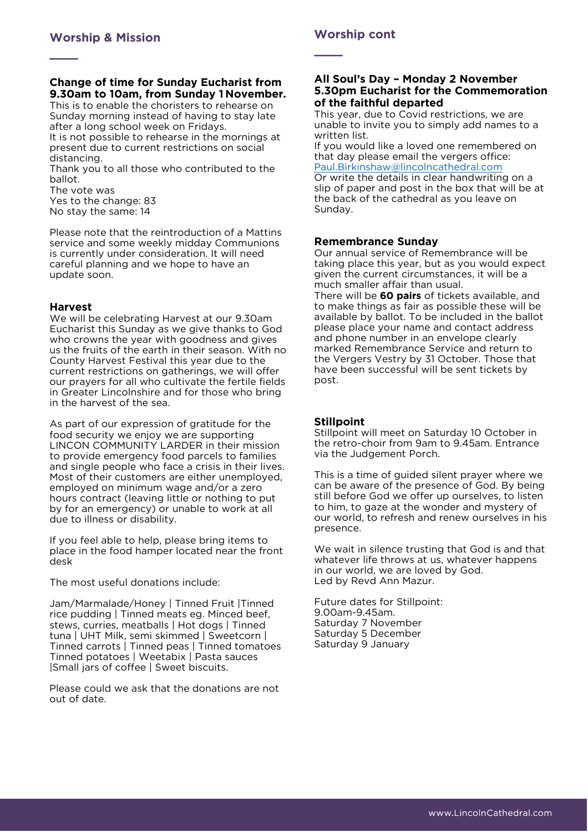**\_\_\_\_**

### **Change of time for Sunday Eucharist from 9.30am to 10am, from Sunday 1 November.**

This is to enable the choristers to rehearse on Sunday morning instead of having to stay late after a long school week on Fridays.

It is not possible to rehearse in the mornings at present due to current restrictions on social distancing.

Thank you to all those who contributed to the ballot.

The vote was

Yes to the change: 83 No stay the same: 14

Please note that the reintroduction of a Mattins service and some weekly midday Communions is currently under consideration. It will need careful planning and we hope to have an update soon.

### **Harvest**

We will be celebrating Harvest at our 9.30am Eucharist this Sunday as we give thanks to God who crowns the year with goodness and gives us the fruits of the earth in their season. With no County Harvest Festival this year due to the current restrictions on gatherings, we will offer our prayers for all who cultivate the fertile fields in Greater Lincolnshire and for those who bring in the harvest of the sea.

As part of our expression of gratitude for the food security we enjoy we are supporting LINCON COMMUNITY LARDER in their mission to provide emergency food parcels to families and single people who face a crisis in their lives. Most of their customers are either unemployed, employed on minimum wage and/or a zero hours contract (leaving little or nothing to put by for an emergency) or unable to work at all due to illness or disability.

If you feel able to help, please bring items to place in the food hamper located near the front desk

The most useful donations include:

Jam/Marmalade/Honey | Tinned Fruit |Tinned rice pudding | Tinned meats eg. Minced beef, stews, curries, meatballs | Hot dogs | Tinned tuna | UHT Milk, semi skimmed | Sweetcorn | Tinned carrots | Tinned peas | Tinned tomatoes Tinned potatoes | Weetabix | Pasta sauces |Small jars of coffee | Sweet biscuits.

Please could we ask that the donations are not out of date.

# **Worship cont**

**\_\_\_\_**

#### **All Soul's Day – Monday 2 November 5.30pm Eucharist for the Commemoration of the faithful departed**

This year, due to Covid restrictions, we are unable to invite you to simply add names to a written list.

If you would like a loved one remembered on that day please email the vergers office: [Paul.Birkinshaw@lincolncathedral.com](mailto:Paul.Birkinshaw@lincolncathedral.com) Or write the details in clear handwriting on a

slip of paper and post in the box that will be at the back of the cathedral as you leave on Sunday.

# **Remembrance Sunday**

Our annual service of Remembrance will be taking place this year, but as you would expect given the current circumstances, it will be a much smaller affair than usual.

There will be **60 pairs** of tickets available, and to make things as fair as possible these will be available by ballot. To be included in the ballot please place your name and contact address and phone number in an envelope clearly marked Remembrance Service and return to the Vergers Vestry by 31 October. Those that have been successful will be sent tickets by post.

# **Stillpoint**

Stillpoint will meet on Saturday 10 October in the retro-choir from 9am to 9.45am. Entrance via the Judgement Porch.

This is a time of guided silent prayer where we can be aware of the presence of God. By being still before God we offer up ourselves, to listen to him, to gaze at the wonder and mystery of our world, to refresh and renew ourselves in his presence.

We wait in silence trusting that God is and that whatever life throws at us, whatever happens in our world, we are loved by God. Led by Revd Ann Mazur.

Future dates for Stillpoint: 9.00am-9.45am. Saturday 7 November Saturday 5 December Saturday 9 January